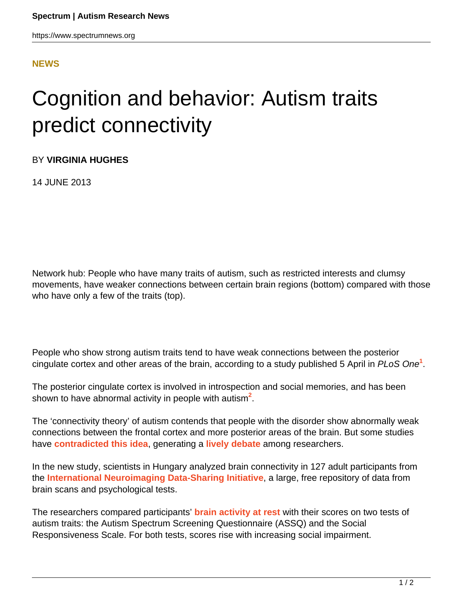https://www.spectrumnews.org

## **[NEWS](HTTPS://WWW.SPECTRUMNEWS.ORG/NEWS/)**

## Cognition and behavior: Autism traits predict connectivity

BY **VIRGINIA HUGHES**

14 JUNE 2013

Network hub: People who have many traits of autism, such as restricted interests and clumsy movements, have weaker connections between certain brain regions (bottom) compared with those who have only a few of the traits (top).

People who show strong autism traits tend to have weak connections between the posterior cingulate cortex and other areas of the brain, according to a study published 5 April in PLoS One**<sup>1</sup>** .

The posterior cingulate cortex is involved in introspection and social memories, and has been shown to have abnormal activity in people with autism**<sup>2</sup>** .

The 'connectivity theory' of autism contends that people with the disorder show abnormally weak connections between the frontal cortex and more posterior areas of the brain. But some studies have **[contradicted this idea](https://www.spectrumnews.org/specials/2013/connectivity/contradictions-in-connectivity)**, generating a **[lively debate](https://www.spectrumnews.org/news/2012/imaging-studies-question-connectivity-theory-of-autism)** among researchers.

In the new study, scientists in Hungary analyzed brain connectivity in 127 adult participants from the **[International Neuroimaging Data-Sharing Initiative](http://fcon_1000.projects.nitrc.org)**, a large, free repository of data from brain scans and psychological tests.

The researchers compared participants' **[brain activity at rest](https://www.spectrumnews.org/conference-news/2010/society-for-neuroscience-2010/video-secrets-of-the-brain-at-rest)** with their scores on two tests of autism traits: the Autism Spectrum Screening Questionnaire (ASSQ) and the Social Responsiveness Scale. For both tests, scores rise with increasing social impairment.